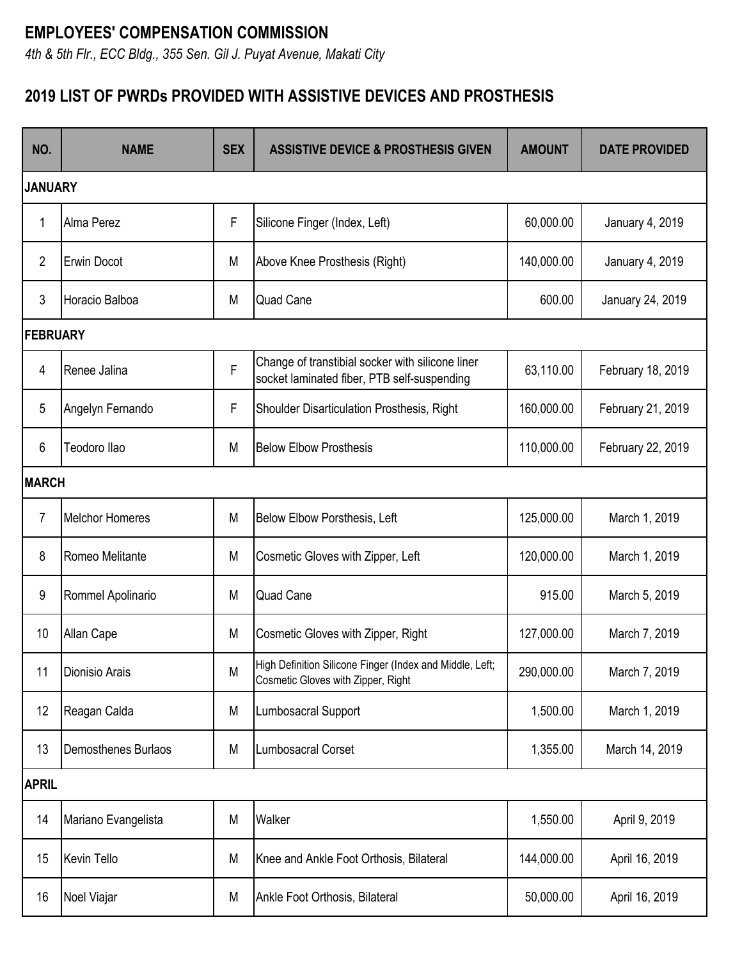## **EMPLOYEES' COMPENSATION COMMISSION**

*4th & 5th Flr., ECC Bldg., 355 Sen. Gil J. Puyat Avenue, Makati City*

## **2019 LIST OF PWRDs PROVIDED WITH ASSISTIVE DEVICES AND PROSTHESIS**

| NO.             | <b>NAME</b>            | <b>SEX</b> | <b>ASSISTIVE DEVICE &amp; PROSTHESIS GIVEN</b>                                                  | <b>AMOUNT</b> | <b>DATE PROVIDED</b> |  |
|-----------------|------------------------|------------|-------------------------------------------------------------------------------------------------|---------------|----------------------|--|
| <b>JANUARY</b>  |                        |            |                                                                                                 |               |                      |  |
| 1               | <b>Alma Perez</b>      | F          | Silicone Finger (Index, Left)                                                                   | 60,000.00     | January 4, 2019      |  |
| $\overline{2}$  | <b>Erwin Docot</b>     | M          | Above Knee Prosthesis (Right)                                                                   | 140,000.00    | January 4, 2019      |  |
| 3               | Horacio Balboa         | M          | <b>Quad Cane</b>                                                                                | 600.00        | January 24, 2019     |  |
| <b>FEBRUARY</b> |                        |            |                                                                                                 |               |                      |  |
| 4               | Renee Jalina           | F          | Change of transtibial socker with silicone liner<br>socket laminated fiber, PTB self-suspending | 63,110.00     | February 18, 2019    |  |
| 5               | Angelyn Fernando       | F          | Shoulder Disarticulation Prosthesis, Right                                                      | 160,000.00    | February 21, 2019    |  |
| 6               | Teodoro Ilao           | M          | <b>Below Elbow Prosthesis</b>                                                                   | 110,000.00    | February 22, 2019    |  |
| <b>MARCH</b>    |                        |            |                                                                                                 |               |                      |  |
| $\overline{7}$  | <b>Melchor Homeres</b> | M          | Below Elbow Porsthesis, Left                                                                    | 125,000.00    | March 1, 2019        |  |
| 8               | Romeo Melitante        | M          | Cosmetic Gloves with Zipper, Left                                                               | 120,000.00    | March 1, 2019        |  |
| 9               | Rommel Apolinario      | M          | <b>Quad Cane</b>                                                                                | 915.00        | March 5, 2019        |  |
| 10              | Allan Cape             | M          | Cosmetic Gloves with Zipper, Right                                                              | 127,000.00    | March 7, 2019        |  |
| 11              | Dionisio Arais         | M          | High Definition Silicone Finger (Index and Middle, Left;<br>Cosmetic Gloves with Zipper, Right  | 290,000.00    | March 7, 2019        |  |
| 12              | Reagan Calda           | M          | Lumbosacral Support                                                                             | 1,500.00      | March 1, 2019        |  |
| 13              | Demosthenes Burlaos    | M          | <b>Lumbosacral Corset</b>                                                                       | 1,355.00      | March 14, 2019       |  |
| <b>APRIL</b>    |                        |            |                                                                                                 |               |                      |  |
| 14              | Mariano Evangelista    | M          | Walker                                                                                          | 1,550.00      | April 9, 2019        |  |
| 15              | <b>Kevin Tello</b>     | M          | Knee and Ankle Foot Orthosis, Bilateral                                                         | 144,000.00    | April 16, 2019       |  |
| 16              | Noel Viajar            | M          | Ankle Foot Orthosis, Bilateral                                                                  | 50,000.00     | April 16, 2019       |  |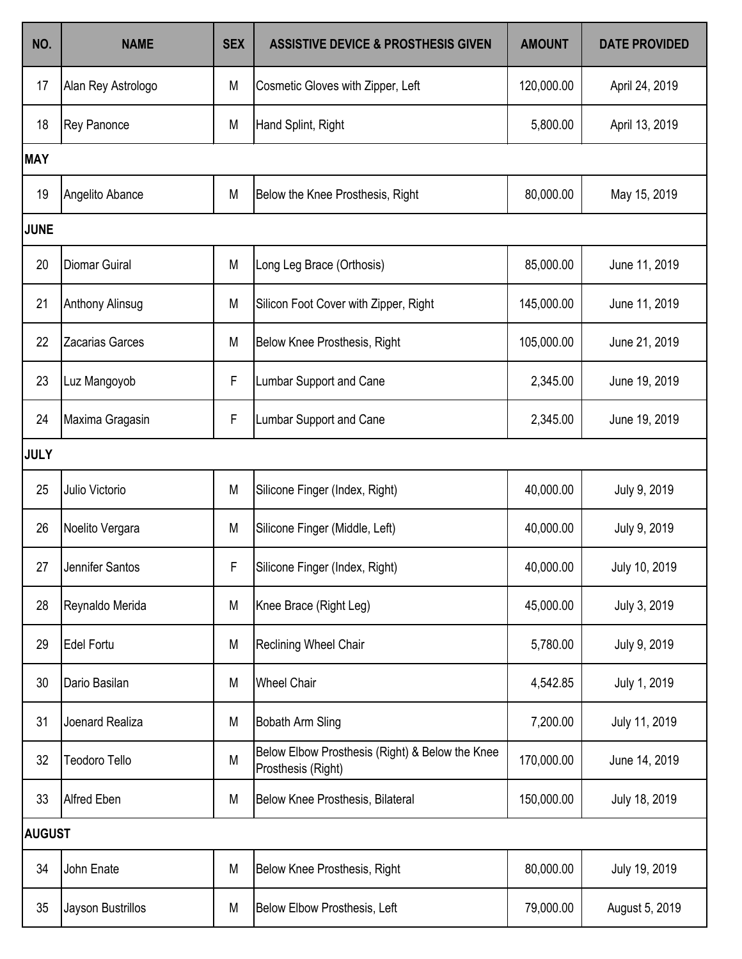| NO.         | <b>NAME</b>            | <b>SEX</b> | <b>ASSISTIVE DEVICE &amp; PROSTHESIS GIVEN</b>                        | <b>AMOUNT</b> | <b>DATE PROVIDED</b> |  |  |
|-------------|------------------------|------------|-----------------------------------------------------------------------|---------------|----------------------|--|--|
| 17          | Alan Rey Astrologo     | M          | Cosmetic Gloves with Zipper, Left                                     | 120,000.00    | April 24, 2019       |  |  |
| 18          | Rey Panonce            | M          | Hand Splint, Right                                                    | 5,800.00      | April 13, 2019       |  |  |
| <b>MAY</b>  |                        |            |                                                                       |               |                      |  |  |
| 19          | Angelito Abance        | M          | Below the Knee Prosthesis, Right                                      | 80,000.00     | May 15, 2019         |  |  |
| <b>JUNE</b> |                        |            |                                                                       |               |                      |  |  |
| 20          | <b>Diomar Guiral</b>   | M          | Long Leg Brace (Orthosis)                                             | 85,000.00     | June 11, 2019        |  |  |
| 21          | <b>Anthony Alinsug</b> | M          | Silicon Foot Cover with Zipper, Right                                 | 145,000.00    | June 11, 2019        |  |  |
| 22          | <b>Zacarias Garces</b> | M          | Below Knee Prosthesis, Right                                          | 105,000.00    | June 21, 2019        |  |  |
| 23          | Luz Mangoyob           | F          | Lumbar Support and Cane                                               | 2,345.00      | June 19, 2019        |  |  |
| 24          | Maxima Gragasin        | F          | Lumbar Support and Cane                                               | 2,345.00      | June 19, 2019        |  |  |
| <b>JULY</b> |                        |            |                                                                       |               |                      |  |  |
| 25          | Julio Victorio         | M          | Silicone Finger (Index, Right)                                        | 40,000.00     | July 9, 2019         |  |  |
| 26          | Noelito Vergara        | M          | Silicone Finger (Middle, Left)                                        | 40,000.00     | July 9, 2019         |  |  |
| 27          | Jennifer Santos        | F          | Silicone Finger (Index, Right)                                        | 40,000.00     | July 10, 2019        |  |  |
| 28          | Reynaldo Merida        | M          | Knee Brace (Right Leg)                                                | 45,000.00     | July 3, 2019         |  |  |
| 29          | <b>Edel Fortu</b>      | M          | Reclining Wheel Chair                                                 | 5,780.00      | July 9, 2019         |  |  |
| 30          | Dario Basilan          | M          | <b>Wheel Chair</b>                                                    | 4,542.85      | July 1, 2019         |  |  |
| 31          | Joenard Realiza        | M          | Bobath Arm Sling                                                      | 7,200.00      | July 11, 2019        |  |  |
| 32          | <b>Teodoro Tello</b>   | M          | Below Elbow Prosthesis (Right) & Below the Knee<br>Prosthesis (Right) | 170,000.00    | June 14, 2019        |  |  |
| 33          | <b>Alfred Eben</b>     | M          | Below Knee Prosthesis, Bilateral                                      | 150,000.00    | July 18, 2019        |  |  |
|             | <b>AUGUST</b>          |            |                                                                       |               |                      |  |  |
| 34          | John Enate             | M          | Below Knee Prosthesis, Right                                          | 80,000.00     | July 19, 2019        |  |  |
| 35          | Jayson Bustrillos      | M          | Below Elbow Prosthesis, Left                                          | 79,000.00     | August 5, 2019       |  |  |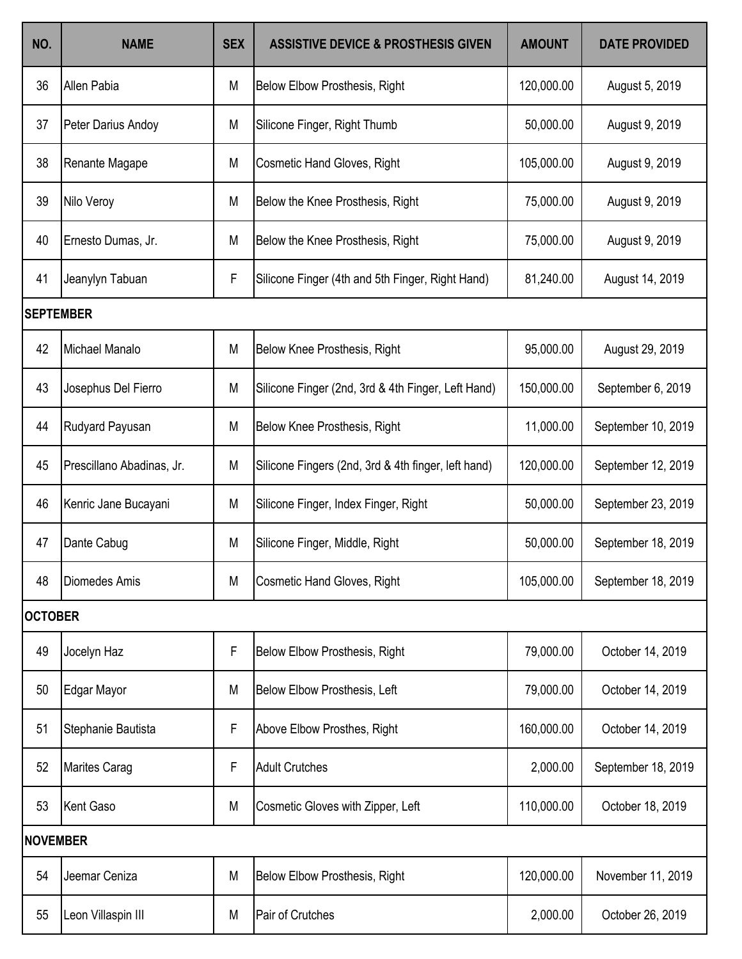| NO.              | <b>NAME</b>               | <b>SEX</b> | <b>ASSISTIVE DEVICE &amp; PROSTHESIS GIVEN</b>      | <b>AMOUNT</b> | <b>DATE PROVIDED</b> |  |
|------------------|---------------------------|------------|-----------------------------------------------------|---------------|----------------------|--|
| 36               | Allen Pabia               | M          | <b>Below Elbow Prosthesis, Right</b>                | 120,000.00    | August 5, 2019       |  |
| 37               | Peter Darius Andoy        | M          | Silicone Finger, Right Thumb                        | 50,000.00     | August 9, 2019       |  |
| 38               | Renante Magape            | M          | <b>Cosmetic Hand Gloves, Right</b>                  | 105,000.00    | August 9, 2019       |  |
| 39               | Nilo Veroy                | M          | Below the Knee Prosthesis, Right                    | 75,000.00     | August 9, 2019       |  |
| 40               | Ernesto Dumas, Jr.        | M          | Below the Knee Prosthesis, Right                    | 75,000.00     | August 9, 2019       |  |
| 41               | Jeanylyn Tabuan           | F          | Silicone Finger (4th and 5th Finger, Right Hand)    | 81,240.00     | August 14, 2019      |  |
| <b>SEPTEMBER</b> |                           |            |                                                     |               |                      |  |
| 42               | Michael Manalo            | M          | Below Knee Prosthesis, Right                        | 95,000.00     | August 29, 2019      |  |
| 43               | Josephus Del Fierro       | M          | Silicone Finger (2nd, 3rd & 4th Finger, Left Hand)  | 150,000.00    | September 6, 2019    |  |
| 44               | Rudyard Payusan           | M          | Below Knee Prosthesis, Right                        | 11,000.00     | September 10, 2019   |  |
| 45               | Prescillano Abadinas, Jr. | M          | Silicone Fingers (2nd, 3rd & 4th finger, left hand) | 120,000.00    | September 12, 2019   |  |
| 46               | Kenric Jane Bucayani      | M          | Silicone Finger, Index Finger, Right                | 50,000.00     | September 23, 2019   |  |
| 47               | Dante Cabug               | M          | Silicone Finger, Middle, Right                      | 50,000.00     | September 18, 2019   |  |
| 48               | Diomedes Amis             | M          | <b>Cosmetic Hand Gloves, Right</b>                  | 105,000.00    | September 18, 2019   |  |
| <b>OCTOBER</b>   |                           |            |                                                     |               |                      |  |
| 49               | Jocelyn Haz               | F          | Below Elbow Prosthesis, Right                       | 79,000.00     | October 14, 2019     |  |
| 50               | Edgar Mayor               | M          | Below Elbow Prosthesis, Left                        | 79,000.00     | October 14, 2019     |  |
| 51               | Stephanie Bautista        | F          | Above Elbow Prosthes, Right                         | 160,000.00    | October 14, 2019     |  |
| 52               | Marites Carag             | F          | <b>Adult Crutches</b>                               | 2,000.00      | September 18, 2019   |  |
| 53               | Kent Gaso                 | M          | Cosmetic Gloves with Zipper, Left                   | 110,000.00    | October 18, 2019     |  |
| <b>NOVEMBER</b>  |                           |            |                                                     |               |                      |  |
| 54               | Jeemar Ceniza             | M          | Below Elbow Prosthesis, Right                       | 120,000.00    | November 11, 2019    |  |
| 55               | Leon Villaspin III        | M          | Pair of Crutches                                    | 2,000.00      | October 26, 2019     |  |